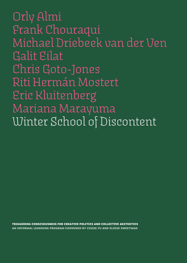Orly Almi Frank Chouraqui Michael Driebeek van der Ven Galit Eilat Chris Goto-Jones Riti Hermán Mostert Eric Kluitenberg Mariana Marayuma Winter School of Discontent

triggering consciousness for creative politics and collective aesthetics an informal learning program convened by Cissie Fu and Eloise Sweetman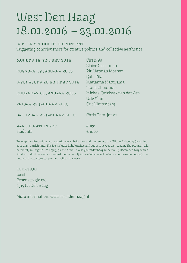## West Den Haag 18.01.2016 — 23.01.2016

winter school of discontent Triggering consciousness for creative politics and collective aesthetics

| MONDAY 18 JANUARY 2016        | Cissie Fu<br>Eloise Sweetman              |
|-------------------------------|-------------------------------------------|
| TUESDAY 19 JANUARY 2016       | Riti Hermán Mostert<br><b>Galit Eilat</b> |
| WEDNESDAY 20 JANUARY 2016     | Marianna Maruyama<br>Frank Chouraqui      |
| THURSDAY 21 JANUARY 2016      | Michael Driebeek van der Ven<br>Orly Almi |
| FRIDAY 22 JANUARY 2016        | Eric Kluitenberg                          |
| SATURDAY 23 JANUARY 2016      | Chris Goto-Jones                          |
| PARTICIPATION FEE<br>students | $E$ 150,-<br>€ 100,-                      |

To keep the discussions and experiences substantive and immersive, this Winter School of Discontent caps at 25 participants. The fee includes light lunches and suppers as well as a reader. The program will be mainly in English. To apply, please e-mail eloise@westdenhaag.nl before 15 December 2015 with a short introduction and a 100-word motivation. If successful, you will receive a confirmation of registration and instructions for payment within the week.

Location West Groenewegje 136 2515 LR Den Haag

More information: www.westdenhaag.nl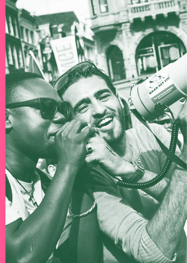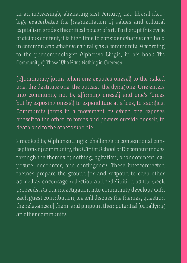In an increasingly alienating 21st century, neo-liberal ideology exacerbates the fragmentation of values and cultural capitalism erodes the critical power of art. To disrupt this cycle of vicious content, it is high time to consider what we can hold in common and what we can rally as a community. According to the phenomenologist Alphonso Lingis, in his book *The Community of Those Who Have Nothing in Common*:

[c]ommunity forms when one exposes oneself to the naked one, the destitute one, the outcast, the dying one. One enters into community not by affirming oneself and one's forces but by exposing oneself to expenditure at a loss, to sacrifice. Community forms in a movement by which one exposes oneself to the other, to forces and powers outside oneself, to death and to the others who die.

Provoked by Alphonso Lingis' challenge to conventional conceptions of community, the Winter School of Discontent moves through the themes of nothing, agitation, abandonment, exposure, encounter, and contingency. These interconnected themes prepare the ground for and respond to each other as well as encourage reflection and redefinition as the week proceeds. As our investigation into community develops with each guest contribution, we will discuss the themes, question the relevance of them, and pinpoint their potential for rallying an other community.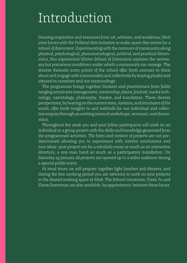# Introduction

Drawing inspiration and resources from art, activism, and academia, West joins forces with the Political Arts Initiative to make space this winter for a school of discontent. Experimenting with the contours of community along physical, psychological, phenomenological, political, and practical dimensions, this experiential Winter School of Discontent explores the necessary but precarious conditions under which a community can emerge. The diverse thematic entry points of the school offer fresh avenues to think about and engage with commonality and collectivity by staying playful and attuned to ourselves and our surroundings.

The programme brings together thinkers and practitioners from fields ranging across arts management, curatorship, dance, food art, media technology, narratology, philosophy, theatre, and translation. These diverse perspectives, by bearing on the current state, systems, and structures of the world, offer fresh insights to and methods for our individual and collective enquiry through an exciting series of workshops, seminars, and discussions.

Throughout the week you and your fellow participants will work on an individual or a group project with the skills and knowledge generated from the programmed activities. The form and content of projects are not predetermined allowing you to experiment with interim conclusions and new ideas: your project can be a scholarly essay as much as an interactive directory, a one-man band as much as a participatory installation. On Saturday 23 January all projects are opened up to a wider audience during a special public event.

At meal times we will prepare together light lunches and dinners, and during the free working period you are welcome to work on your projects in the shared working space at West. The School convenors, Cissie Fu and Eloise Sweetman are also available, by appointment, between these hours.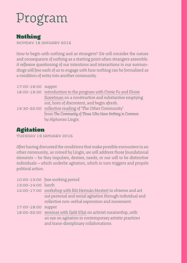# Program

### Nothing

Monday 18 January 2016

How to begin with nothing and as strangers? We will consider the nature and consequence of nothing as a starting point when strangers assemble. A reflexive questioning of our intentions and interactions in our surroundings will free each of us to engage with how nothing can be formalized as a condition of entry into another community.

| 17:00-18:00 supper |                                                                   |
|--------------------|-------------------------------------------------------------------|
|                    | 18:00-19:30 introduction to the program with Cissie Fu and Eloise |
|                    | Sweetman on a constructive and substantive emptying               |
|                    | out, born of discontent, and begin afresh.                        |
| 19:30-22:00        | collective reading of 'The Other Community'                       |
|                    | from The Community of Those Who Have Nothing in Common            |
|                    | by Alphonso Lingis.                                               |

## Agitation

Tuesday 19 January 2016

After having discussed the conditions that make possible encounters in an other community, as coined by Lingis, we will address those foundational elements — be they impulses, desires, needs, or our will to be distinctive individuals — which underlie agitation, which in turn triggers and propels political action.

|                   | 10:00-13:00 free working period                                  |
|-------------------|------------------------------------------------------------------|
| 13:00-14:00 lunch |                                                                  |
|                   | 14:00-17:00 workshop with Riti Hermán Mostert to observe and act |
|                   | out personal and social agitation through individual and         |
|                   | collective non-verbal expression and movement.                   |
| 17:00-18:00       | supper                                                           |
| 18:00-22:00       | seminar with Galit Eilat on activist curatorship, with           |
|                   | an eye on agitation in contemporary artistic practices           |
|                   | and trans-disciplinary collaborations.                           |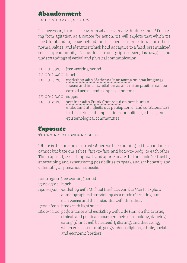### Abandonment

Wednesday 20 January

Is it necessary to break away from what we already think we know? Following from agitation as a source for action, we will explore that which we need to abandon, leave behind, and suspend in order to disturb those norms, values, and identities which hold us captive to a fixed, essentialized sense of community. Let us loosen our grip on everyday usages and understandings of verbal and physical communication.

|                   | 10:00-13:00 free working period                                                                                                                                                                                 |
|-------------------|-----------------------------------------------------------------------------------------------------------------------------------------------------------------------------------------------------------------|
| 13:00-14:00 lunch |                                                                                                                                                                                                                 |
|                   | 14:00-17:00 workshop with Marianna Maruyama on how language<br>moves and how translation as an artistic practice can be<br>carried across bodies, space, and time.                                              |
| 17:00-18:00       | supper                                                                                                                                                                                                          |
|                   | 18:00-22:00 seminar with Frank Chouraqui on how human<br>embodiment inflects our perception of and consciousness<br>in the world, with implications for political, ethical, and<br>epistemological communities. |

#### Exposure

Thursday 21 January 2016

Where is the threshold of trust? When we have nothing left to abandon, we cannot but bare our selves, face-to-face and body-to-body, to each other. Thus exposed, we will approach and approximate the threshold for trust by entertaining and experiencing possibilities to speak and act honestly and vulnerably as precarious subjects.

|                   | 10:00-13:00 free working period                                                                                                   |
|-------------------|-----------------------------------------------------------------------------------------------------------------------------------|
| 13:00-14:00 lunch |                                                                                                                                   |
|                   | 14:00-17:00 workshop with Michael Driebeek van der Ven to explore<br>autobiographical storytelling as a mode of trusting our      |
|                   | own voices and the encounter with the other.                                                                                      |
|                   | 17:00-18:00 break with light snacks                                                                                               |
|                   | 18:00-22:00 performance and workshop with Orly Almi on the artistic,<br>ethical, and political movement between cooking, dancing, |
|                   | eating (dinner will be served!), sharing, and theorizing,                                                                         |
|                   | which crosses cultural, geographic, religious, ethnic, social,                                                                    |
|                   | and economic borders.                                                                                                             |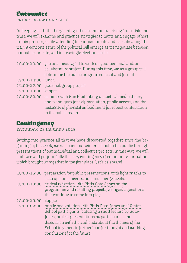#### Encounter

#### Friday 22 January 2016

In keeping with the burgeoning other community arising from risk and trust, we will examine and practice strategies to invite and engage others in this process, while attending to various threats and caveats along the way. A concrete sense of the political will emerge as we negotiate between our public, private, and increasingly electronic selves.

|                    | 10:00-13:00 you are encouraged to work on your personal and/or<br>collaborative project. During this time, we as a group will<br>determine the public program concept and format. |
|--------------------|-----------------------------------------------------------------------------------------------------------------------------------------------------------------------------------|
| 13:00-14:00 lunch  |                                                                                                                                                                                   |
|                    | 14:00-17:00 personal/group project                                                                                                                                                |
| 17:00-18:00 supper |                                                                                                                                                                                   |
|                    | 18:00-22:00 seminar with Eric Kluitenberg on tactical media theory                                                                                                                |
|                    | and techniques for self-mediation, public access, and the                                                                                                                         |
|                    | necessity of physical embodiment for robust contestation                                                                                                                          |
|                    | in the public realm.                                                                                                                                                              |

#### Contingency

Saturday 23 January 2016

Putting into practice all that we have discovered together since the beginning of the week, we will open our winter school to the public through presentations of our individual and collective projects. In this way, we will embrace and perform fully the very contingency of community-formation, which brought us together in the first place. Let's celebrate!

| 10:00-16:00 | preparation for public presentations, with light snacks to                                                                                                                                                                                                                                                            |
|-------------|-----------------------------------------------------------------------------------------------------------------------------------------------------------------------------------------------------------------------------------------------------------------------------------------------------------------------|
|             | keep up our concentration and energy levels.                                                                                                                                                                                                                                                                          |
| 16:00-18:00 | critical reflection with Chris Goto-Jones on the<br>programme and resulting projects, alongside questions<br>that continue to come into play.                                                                                                                                                                         |
| 18:00-19:00 | supper                                                                                                                                                                                                                                                                                                                |
| 19:00-22:00 | public presentation with Chris Goto-Jones and Winter<br>School participants featuring a short lecture by Goto-<br>Jones, project presentations by participants, and<br>discussion with the audience about the themes of the<br>School to generate further food for thought and working<br>conclusions for the future. |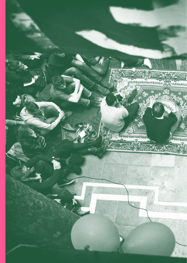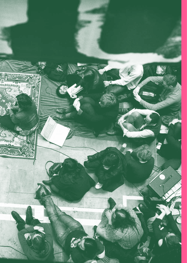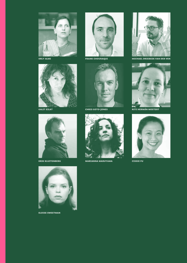

**ORLY ALMI** 



**GALIT EILAT** 



**ERIK KLUITENBERG** 



**FRANK CHOURAQUI** 



**CHRIS GOTO-JONES** 



MARIANNA MARUYAMA



MICHAEL DRIEBEEK VAN DER VEN



RITI HERMÁN MOSTERT



**CISSIE FU** 



**ELOISE SWEETMAN**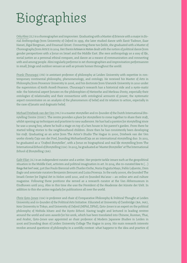# Biographies

Orly Almi(IL) is a choreographer and improviser. Graduating with a Master of Science with a major in Social Anthropology from University of Oxford in 1999, she later studied dance with Ilanit Tadmor, Saar Harari, Sigal Bergman, and Emanuel Grivet. Connecting these two fields, she graduated with a Master of Choreography from ArtEZ in 2014. Her thesis *Activism in Motion* dealt with the notion of political dance from gender perspectives with a focus on Israel and the Middle East. She sees anthropology as a way of life, social justice as a personal ethical compass, and dance as a means of communication and connecting with and among people. Almi regularly performs in set choreographies and improvisation performances in small, fringe and outdoor venues as well as private homes throughout the world.

Frank Chouraqui (FR) is assistant professor of philosophy at Leiden University with expertise in contemporary continental philosophy, phenomenology, and ontology. He received his Master of Arts in Philosophy from Provence University in 2006, and his doctorate from Warwick University in 2010 under the supervision of Keith Ansell-Pearson. Chouraqui's research has a historical side and a syste-matic side: the historical aspect focuses on the philosophies of Nietzsche and Merleau-Ponty, especially their ontologies of relationality and their connections with ontological accounts of power; the systematic aspect concentrates on an analysis of the phenomenon of belief and its relation to action, especially in the case of fanatic and dogmatic belief.

Michael Driebeek van der Ven (NL) is a master storyteller and co-founder of the Dutch International Storytelling Centre (DISC). The centre provides a place for storytellers to come together to share their craft, whilst opening up techniques and practices to new audiences. He has had a passion for storytelling since he was a young boy, where he built a stage on top of a hen house in his parent's garden. From there he started telling stories to the neighbourhood children. Since then he has consistently been developing his craft. Graduating as an actor from The Actor's Studio The Hague in 2000, Driebeek van der Ven works closely Caja van der Poel, founding MichaelandCaja as an international storytelling duo. In 2011, he graduated as a 'Crafted Storyteller', with a focus on biographical and real life storytelling from The International School of Storytelling (UK). In 2013, he graduated as 'Master Storyteller' at The International School of Storytelling (SA).

Galit Eilat (IL) is an independent curator and a writer. Her projects tackle issues such as the geopolitical situation in the Middle East, activism and political imagination in art. In 2014, she co-curated *How to (…) things that don't exist*, 31st Sao Paulo Biennial with Charles Esche, Nuria Enguita Mayo, Pablo Lafuente, Oren Sagiv and associate curators Benjamin Seroussi and Luiza Proença. In the early 2000s, she founded The Israeli Center for Digital Art in Holon until 2010, and co-founded Ma'arav — an online arts and culture magazine. Following these positions she served as a research curator at the Van Abbemuseum in Eindhoven until 2013. Also in this time she was the President of the Akademie der Künste der Welt. In addition to this she writes regularly for publications all over the world.

Chris Goto-Jones (uk) is professor and chair of Comparative Philosophy & Political Thought at Leiden University and co-founder of the Political Arts Initiative. Educated at University of Cambridge (BA, MA), Keio University in Tokyo, and University of Oxford (MPhil, DPhil), Goto-Jones is an expert on the political philosophy of Nishida Kitaro and the Kyoto School. Having taught and lectured in leading centres around the world and won awards for his work, which has been translated into Chinese, Russian, Thai, and Arabic, Goto-Jones was appointed as chair professor of Modern Japanese Studies in Leiden in 2006 and founding dean of Leiden University College The Hague in 2009. His main research interests revolve around questions of philosophy in a worldly context: what happens to the idea and practice of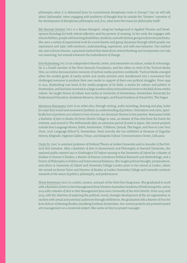philosophy when it is dislocated from its conventional disciplinary roots in Europe? Can we still talk about 'philosophy' when engaging with traditions of thought that lie outside the 'Western' narrative of the development of disciplinary philosophy and, if so, what does this mean for philosophy itself?

Riti Hermán Mostert (NL) is a drama therapist, using her background in Applied Theatre and Development Sociology for both critical reflection and the process of creating. In her work she engages with school children, people with learning disabilities, students, and with diverse groups in forensic psychiatry. She uses a variety of experiential tools for social theatre and group dynamics through which people can experiment and 'play' with emotions, understanding, experience, and with new behavior. One method she uses is forum theatre, a practical method that stems from critical thinking and incorporates not only our reasoning, but instead enhances the embodiment of change.

Eric Kluitenberg (NL) is an independent theorist, writer, and researcher on culture, media & technology. He is a board member of the Floss Manuals Foundation, and the editor-in-chief of the Tactical Media Files, an online documentation resource of tactical media practices worldwide. Tactical Media emerged when the modest goals of media artists and media activists were transformed into a movement that challenged everyone to produce their own media in support of their own political struggles. From 1999 to 2011, Kluitenberg was head of the media program of De Balie, a centre for culture and politics in Amsterdam, and has been involved in a large number of key international events in the field of new media culture. He taught theory of culture and media at University of Amsterdam; Amsterdam University for Professional Education; Academie Minerva, Groningen; and Royal Academy of Visual Arts, The Hague.

Marianna Maruyama (US) is an artist who, through writing, audio recording, drawing and play, looks for ways that sound and movement facilitate an understanding of position. Orientation and voice, specifically loss of position as it relates to loss of voice, are dominant themes in her practice. Maruyama holds a Bachelor of Arts in Studio Art from Oberlin College in USA, an Master of Fine Arts from the Dutch Art Institute, and moved to The Netherlands after an extensive period of work in Japan. Her recent projects include How Language Moves, Goleb, Amsterdam; Il Milione, Gemak, The Hague; and How to Lose Your Voice, NOA Language School Il, Amsterdam. Most recently she has exhibited at Museum of Yugoslav History, Belgrade; Diginner Gallery, Tokyo; and Klaipėda Culture Communication Center, Lithuania.

Cissie Fu (HK) is assistant professor of Political Theory at Leiden University and co-founder of the Political Arts Initiative. After a Bachelor of Arts in Government and Philosophy at Harvard University, she explored public interest law in Washington DC before moving to the University of Oxford for a Master of Studies in Women's Studies, a Master of Science introduces Political Research and Methodology, and a Doctor of Philosophy in Politics and International Relations. She taught political thought, jurisprudence, and ethics at University of Oxford and University College London prior to her arrival at Leiden, where she served as Senior Tutor and Director of Studies at Leiden University College and currently conducts research at the nexus of politics, philosophy, and performance.

Eloise Sweetman (AU) is a writer, curator, and part of the West Den Haag team. She graduated in 2008 with a Bachelor of Arts in Arts Management from Western Australian Academy of Performing Arts, and in 2012 with a Master of Arts in Arts Management from HKU University of the Arts Utrecht. From 2013 until 2015, with the objective of exploring the political, social, strategic development of the art organisation in tandem with actual and potential audiences through exhibitions, she graduated with a Master of Fine Art from School of Missing Studies, Sandberg Institute Amsterdam. Her current projects are pointed toward arts management as a curatorial subject. She works at West as project manager.